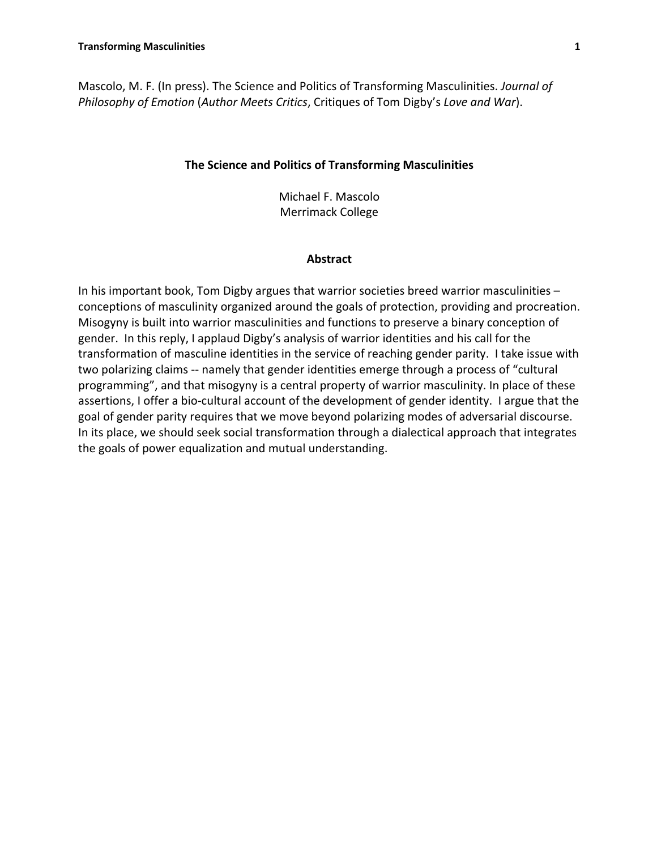Mascolo, M. F. (In press). The Science and Politics of Transforming Masculinities. *Journal of Philosophy of Emotion* (*Author Meets Critics*, Critiques of Tom Digby's *Love and War*).

## **The Science and Politics of Transforming Masculinities**

Michael F. Mascolo Merrimack College

### **Abstract**

In his important book, Tom Digby argues that warrior societies breed warrior masculinities – conceptions of masculinity organized around the goals of protection, providing and procreation. Misogyny is built into warrior masculinities and functions to preserve a binary conception of gender. In this reply, I applaud Digby's analysis of warrior identities and his call for the transformation of masculine identities in the service of reaching gender parity. I take issue with two polarizing claims -- namely that gender identities emerge through a process of "cultural programming", and that misogyny is a central property of warrior masculinity. In place of these assertions, I offer a bio-cultural account of the development of gender identity. I argue that the goal of gender parity requires that we move beyond polarizing modes of adversarial discourse. In its place, we should seek social transformation through a dialectical approach that integrates the goals of power equalization and mutual understanding.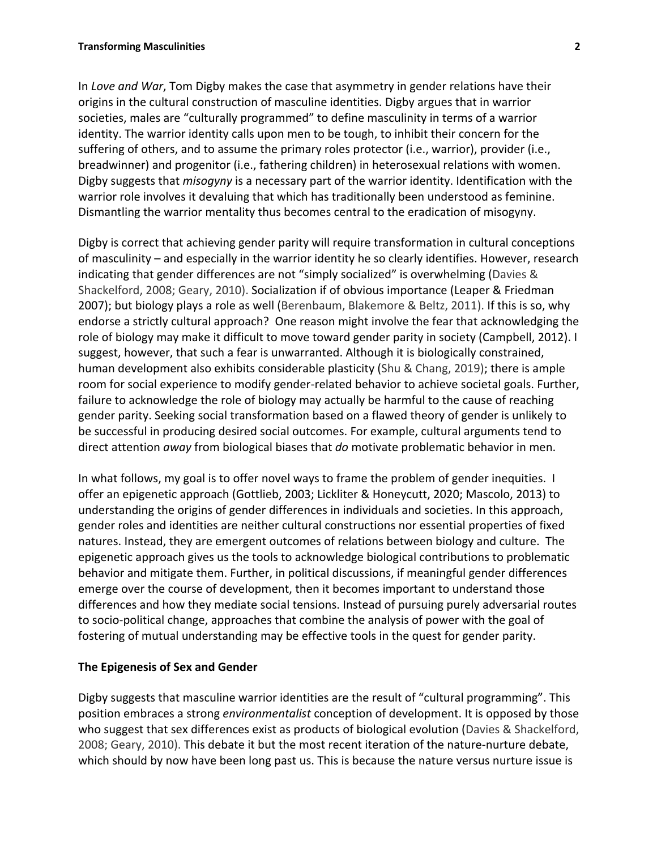In *Love and War*, Tom Digby makes the case that asymmetry in gender relations have their origins in the cultural construction of masculine identities. Digby argues that in warrior societies, males are "culturally programmed" to define masculinity in terms of a warrior identity. The warrior identity calls upon men to be tough, to inhibit their concern for the suffering of others, and to assume the primary roles protector (i.e., warrior), provider (i.e., breadwinner) and progenitor (i.e., fathering children) in heterosexual relations with women. Digby suggests that *misogyny* is a necessary part of the warrior identity. Identification with the warrior role involves it devaluing that which has traditionally been understood as feminine. Dismantling the warrior mentality thus becomes central to the eradication of misogyny.

Digby is correct that achieving gender parity will require transformation in cultural conceptions of masculinity – and especially in the warrior identity he so clearly identifies. However, research indicating that gender differences are not "simply socialized" is overwhelming (Davies & Shackelford, 2008; Geary, 2010). Socialization if of obvious importance (Leaper & Friedman 2007); but biology plays a role as well (Berenbaum, Blakemore & Beltz, 2011). If this is so, why endorse a strictly cultural approach? One reason might involve the fear that acknowledging the role of biology may make it difficult to move toward gender parity in society (Campbell, 2012). I suggest, however, that such a fear is unwarranted. Although it is biologically constrained, human development also exhibits considerable plasticity (Shu & Chang, 2019); there is ample room for social experience to modify gender-related behavior to achieve societal goals. Further, failure to acknowledge the role of biology may actually be harmful to the cause of reaching gender parity. Seeking social transformation based on a flawed theory of gender is unlikely to be successful in producing desired social outcomes. For example, cultural arguments tend to direct attention *away* from biological biases that *do* motivate problematic behavior in men.

In what follows, my goal is to offer novel ways to frame the problem of gender inequities. I offer an epigenetic approach (Gottlieb, 2003; Lickliter & Honeycutt, 2020; Mascolo, 2013) to understanding the origins of gender differences in individuals and societies. In this approach, gender roles and identities are neither cultural constructions nor essential properties of fixed natures. Instead, they are emergent outcomes of relations between biology and culture. The epigenetic approach gives us the tools to acknowledge biological contributions to problematic behavior and mitigate them. Further, in political discussions, if meaningful gender differences emerge over the course of development, then it becomes important to understand those differences and how they mediate social tensions. Instead of pursuing purely adversarial routes to socio-political change, approaches that combine the analysis of power with the goal of fostering of mutual understanding may be effective tools in the quest for gender parity.

## **The Epigenesis of Sex and Gender**

Digby suggests that masculine warrior identities are the result of "cultural programming". This position embraces a strong *environmentalist* conception of development. It is opposed by those who suggest that sex differences exist as products of biological evolution (Davies & Shackelford, 2008; Geary, 2010). This debate it but the most recent iteration of the nature-nurture debate, which should by now have been long past us. This is because the nature versus nurture issue is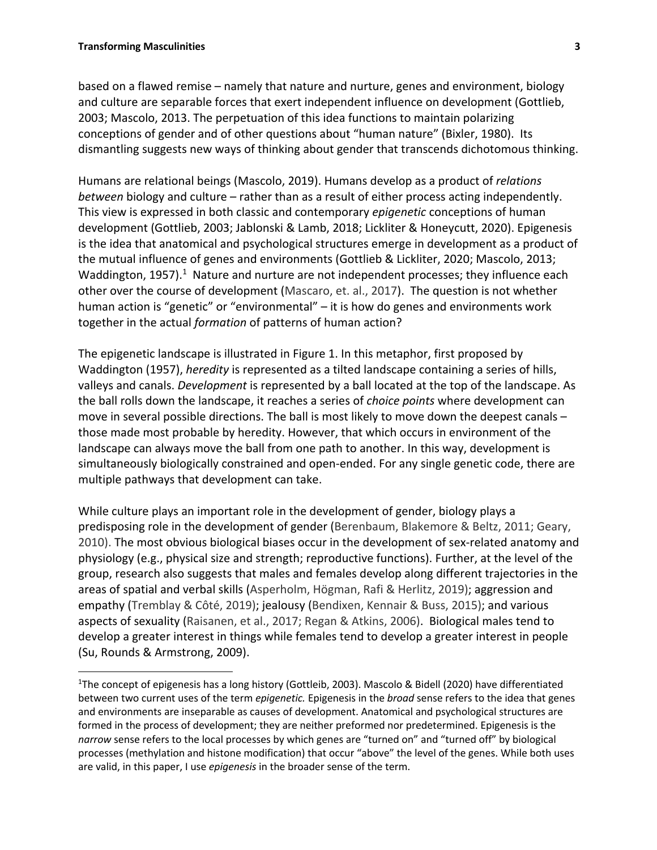based on a flawed remise – namely that nature and nurture, genes and environment, biology and culture are separable forces that exert independent influence on development (Gottlieb, 2003; Mascolo, 2013. The perpetuation of this idea functions to maintain polarizing conceptions of gender and of other questions about "human nature" (Bixler, 1980). Its dismantling suggests new ways of thinking about gender that transcends dichotomous thinking.

Humans are relational beings (Mascolo, 2019). Humans develop as a product of *relations between* biology and culture – rather than as a result of either process acting independently. This view is expressed in both classic and contemporary *epigenetic* conceptions of human development (Gottlieb, 2003; Jablonski & Lamb, 2018; Lickliter & Honeycutt, 2020). Epigenesis is the idea that anatomical and psychological structures emerge in development as a product of the mutual influence of genes and environments (Gottlieb & Lickliter, 2020; Mascolo, 2013; Waddington,  $1957$ ).<sup>1</sup> Nature and nurture are not independent processes; they influence each other over the course of development (Mascaro, et. al., 2017). The question is not whether human action is "genetic" or "environmental" – it is how do genes and environments work together in the actual *formation* of patterns of human action?

The epigenetic landscape is illustrated in Figure 1. In this metaphor, first proposed by Waddington (1957), *heredity* is represented as a tilted landscape containing a series of hills, valleys and canals. *Development* is represented by a ball located at the top of the landscape. As the ball rolls down the landscape, it reaches a series of *choice points* where development can move in several possible directions. The ball is most likely to move down the deepest canals – those made most probable by heredity. However, that which occurs in environment of the landscape can always move the ball from one path to another. In this way, development is simultaneously biologically constrained and open-ended. For any single genetic code, there are multiple pathways that development can take.

While culture plays an important role in the development of gender, biology plays a predisposing role in the development of gender (Berenbaum, Blakemore & Beltz, 2011; Geary, 2010). The most obvious biological biases occur in the development of sex-related anatomy and physiology (e.g., physical size and strength; reproductive functions). Further, at the level of the group, research also suggests that males and females develop along different trajectories in the areas of spatial and verbal skills (Asperholm, Högman, Rafi & Herlitz, 2019); aggression and empathy (Tremblay & Côté, 2019); jealousy (Bendixen, Kennair & Buss, 2015); and various aspects of sexuality (Raisanen, et al., 2017; Regan & Atkins, 2006). Biological males tend to develop a greater interest in things while females tend to develop a greater interest in people (Su, Rounds & Armstrong, 2009).

<sup>&</sup>lt;sup>1</sup>The concept of epigenesis has a long history (Gottleib, 2003). Mascolo & Bidell (2020) have differentiated between two current uses of the term *epigenetic.* Epigenesis in the *broad* sense refers to the idea that genes and environments are inseparable as causes of development. Anatomical and psychological structures are formed in the process of development; they are neither preformed nor predetermined. Epigenesis is the *narrow* sense refers to the local processes by which genes are "turned on" and "turned off" by biological processes (methylation and histone modification) that occur "above" the level of the genes. While both uses are valid, in this paper, I use *epigenesis* in the broader sense of the term.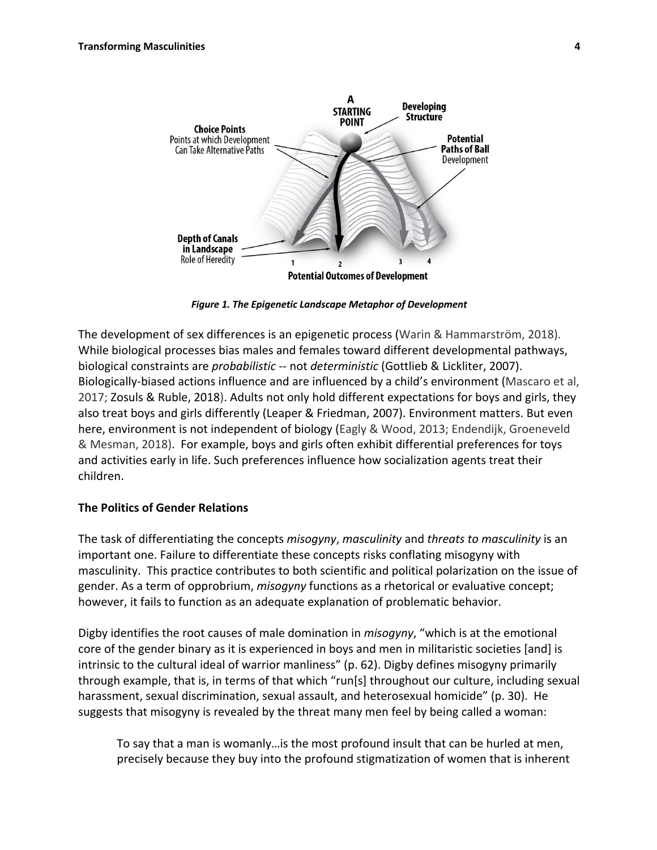

*Figure 1. The Epigenetic Landscape Metaphor of Development*

The development of sex differences is an epigenetic process (Warin & Hammarström, 2018). While biological processes bias males and females toward different developmental pathways, biological constraints are *probabilistic* -- not *deterministic* (Gottlieb & Lickliter, 2007). Biologically-biased actions influence and are influenced by a child's environment (Mascaro et al, 2017; Zosuls & Ruble, 2018). Adults not only hold different expectations for boys and girls, they also treat boys and girls differently (Leaper & Friedman, 2007). Environment matters. But even here, environment is not independent of biology (Eagly & Wood, 2013; Endendijk, Groeneveld & Mesman, 2018). For example, boys and girls often exhibit differential preferences for toys and activities early in life. Such preferences influence how socialization agents treat their children.

## **The Politics of Gender Relations**

The task of differentiating the concepts *misogyny*, *masculinity* and *threats to masculinity* is an important one. Failure to differentiate these concepts risks conflating misogyny with masculinity. This practice contributes to both scientific and political polarization on the issue of gender. As a term of opprobrium, *misogyny* functions as a rhetorical or evaluative concept; however, it fails to function as an adequate explanation of problematic behavior.

Digby identifies the root causes of male domination in *misogyny*, "which is at the emotional core of the gender binary as it is experienced in boys and men in militaristic societies [and] is intrinsic to the cultural ideal of warrior manliness" (p. 62). Digby defines misogyny primarily through example, that is, in terms of that which "run[s] throughout our culture, including sexual harassment, sexual discrimination, sexual assault, and heterosexual homicide" (p. 30). He suggests that misogyny is revealed by the threat many men feel by being called a woman:

To say that a man is womanly…is the most profound insult that can be hurled at men, precisely because they buy into the profound stigmatization of women that is inherent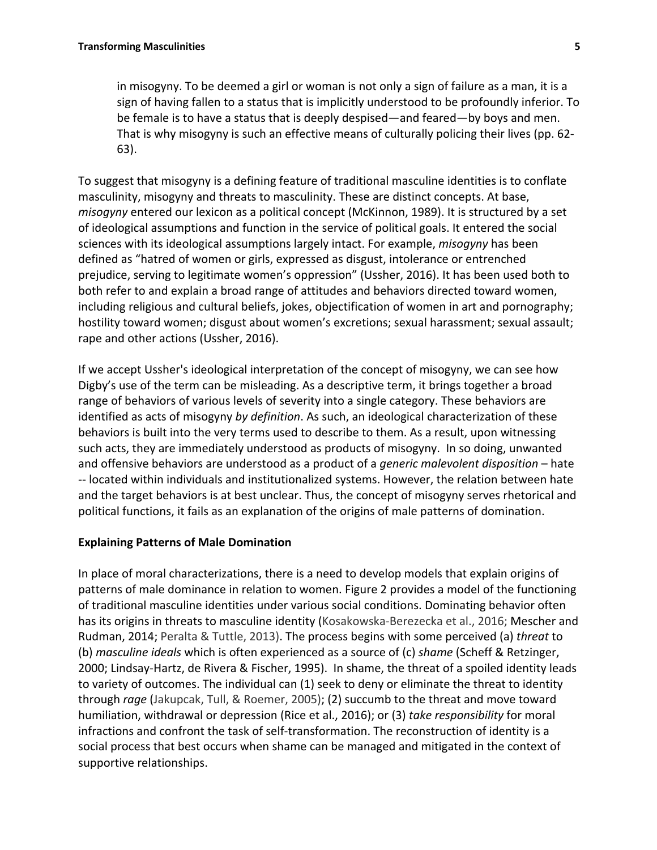in misogyny. To be deemed a girl or woman is not only a sign of failure as a man, it is a sign of having fallen to a status that is implicitly understood to be profoundly inferior. To be female is to have a status that is deeply despised—and feared—by boys and men. That is why misogyny is such an effective means of culturally policing their lives (pp. 62- 63).

To suggest that misogyny is a defining feature of traditional masculine identities is to conflate masculinity, misogyny and threats to masculinity. These are distinct concepts. At base, *misogyny* entered our lexicon as a political concept (McKinnon, 1989). It is structured by a set of ideological assumptions and function in the service of political goals. It entered the social sciences with its ideological assumptions largely intact. For example, *misogyny* has been defined as "hatred of women or girls, expressed as disgust, intolerance or entrenched prejudice, serving to legitimate women's oppression" (Ussher, 2016). It has been used both to both refer to and explain a broad range of attitudes and behaviors directed toward women, including religious and cultural beliefs, jokes, objectification of women in art and pornography; hostility toward women; disgust about women's excretions; sexual harassment; sexual assault; rape and other actions (Ussher, 2016).

If we accept Ussher's ideological interpretation of the concept of misogyny, we can see how Digby's use of the term can be misleading. As a descriptive term, it brings together a broad range of behaviors of various levels of severity into a single category. These behaviors are identified as acts of misogyny *by definition*. As such, an ideological characterization of these behaviors is built into the very terms used to describe to them. As a result, upon witnessing such acts, they are immediately understood as products of misogyny. In so doing, unwanted and offensive behaviors are understood as a product of a *generic malevolent disposition* – hate -- located within individuals and institutionalized systems. However, the relation between hate and the target behaviors is at best unclear. Thus, the concept of misogyny serves rhetorical and political functions, it fails as an explanation of the origins of male patterns of domination.

# **Explaining Patterns of Male Domination**

In place of moral characterizations, there is a need to develop models that explain origins of patterns of male dominance in relation to women. Figure 2 provides a model of the functioning of traditional masculine identities under various social conditions. Dominating behavior often has its origins in threats to masculine identity (Kosakowska-Berezecka et al., 2016; Mescher and Rudman, 2014; Peralta & Tuttle, 2013). The process begins with some perceived (a) *threat* to (b) *masculine ideals* which is often experienced as a source of (c) *shame* (Scheff & Retzinger, 2000; Lindsay-Hartz, de Rivera & Fischer, 1995). In shame, the threat of a spoiled identity leads to variety of outcomes. The individual can (1) seek to deny or eliminate the threat to identity through *rage* (Jakupcak, Tull, & Roemer, 2005); (2) succumb to the threat and move toward humiliation, withdrawal or depression (Rice et al., 2016); or (3) *take responsibility* for moral infractions and confront the task of self-transformation. The reconstruction of identity is a social process that best occurs when shame can be managed and mitigated in the context of supportive relationships.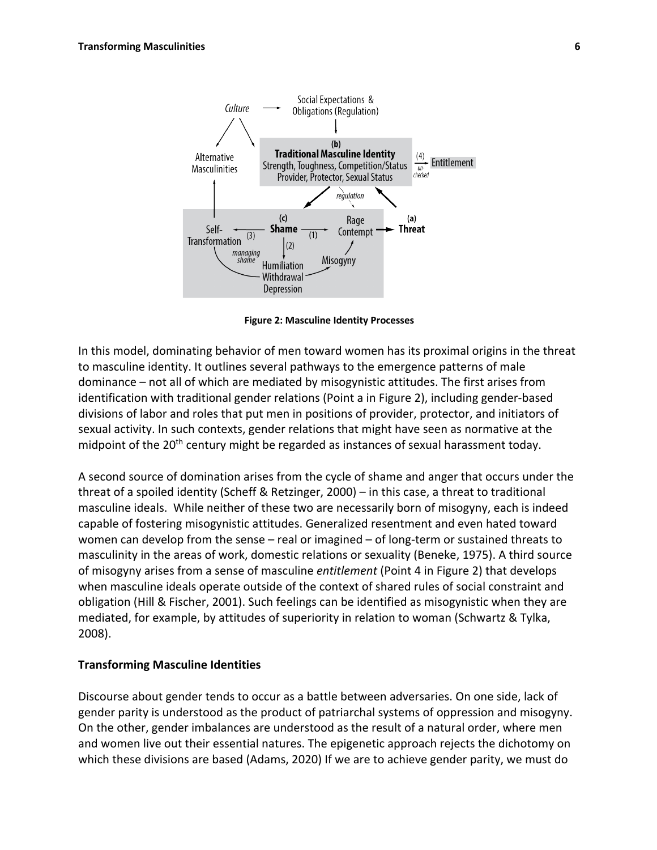

**Figure 2: Masculine Identity Processes**

In this model, dominating behavior of men toward women has its proximal origins in the threat to masculine identity. It outlines several pathways to the emergence patterns of male dominance – not all of which are mediated by misogynistic attitudes. The first arises from identification with traditional gender relations (Point a in Figure 2), including gender-based divisions of labor and roles that put men in positions of provider, protector, and initiators of sexual activity. In such contexts, gender relations that might have seen as normative at the midpoint of the 20<sup>th</sup> century might be regarded as instances of sexual harassment today.

A second source of domination arises from the cycle of shame and anger that occurs under the threat of a spoiled identity (Scheff & Retzinger, 2000) – in this case, a threat to traditional masculine ideals. While neither of these two are necessarily born of misogyny, each is indeed capable of fostering misogynistic attitudes. Generalized resentment and even hated toward women can develop from the sense – real or imagined – of long-term or sustained threats to masculinity in the areas of work, domestic relations or sexuality (Beneke, 1975). A third source of misogyny arises from a sense of masculine *entitlement* (Point 4 in Figure 2) that develops when masculine ideals operate outside of the context of shared rules of social constraint and obligation (Hill & Fischer, 2001). Such feelings can be identified as misogynistic when they are mediated, for example, by attitudes of superiority in relation to woman (Schwartz & Tylka, 2008).

#### **Transforming Masculine Identities**

Discourse about gender tends to occur as a battle between adversaries. On one side, lack of gender parity is understood as the product of patriarchal systems of oppression and misogyny. On the other, gender imbalances are understood as the result of a natural order, where men and women live out their essential natures. The epigenetic approach rejects the dichotomy on which these divisions are based (Adams, 2020) If we are to achieve gender parity, we must do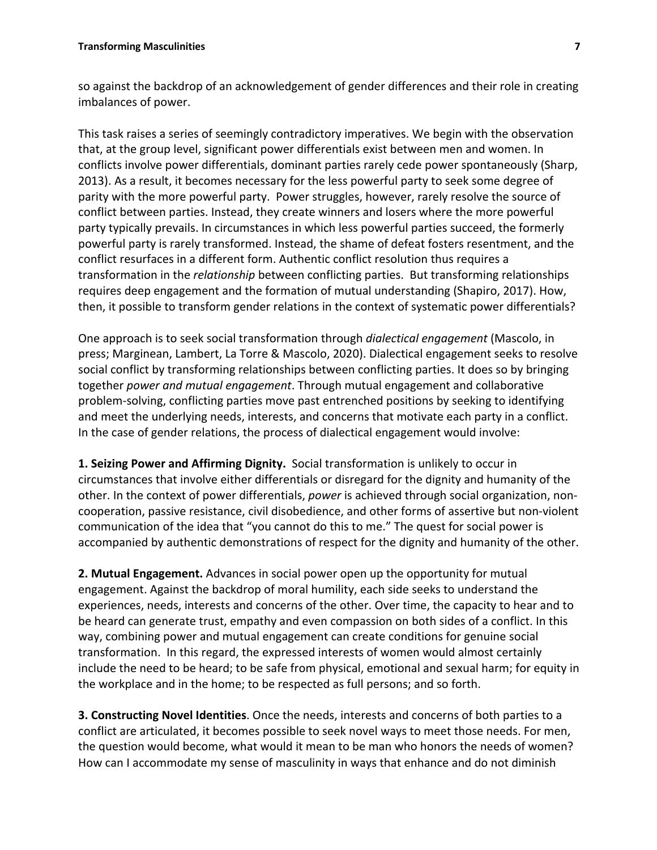so against the backdrop of an acknowledgement of gender differences and their role in creating imbalances of power.

This task raises a series of seemingly contradictory imperatives. We begin with the observation that, at the group level, significant power differentials exist between men and women. In conflicts involve power differentials, dominant parties rarely cede power spontaneously (Sharp, 2013). As a result, it becomes necessary for the less powerful party to seek some degree of parity with the more powerful party. Power struggles, however, rarely resolve the source of conflict between parties. Instead, they create winners and losers where the more powerful party typically prevails. In circumstances in which less powerful parties succeed, the formerly powerful party is rarely transformed. Instead, the shame of defeat fosters resentment, and the conflict resurfaces in a different form. Authentic conflict resolution thus requires a transformation in the *relationship* between conflicting parties. But transforming relationships requires deep engagement and the formation of mutual understanding (Shapiro, 2017). How, then, it possible to transform gender relations in the context of systematic power differentials?

One approach is to seek social transformation through *dialectical engagement* (Mascolo, in press; Marginean, Lambert, La Torre & Mascolo, 2020). Dialectical engagement seeks to resolve social conflict by transforming relationships between conflicting parties. It does so by bringing together *power and mutual engagement*. Through mutual engagement and collaborative problem-solving, conflicting parties move past entrenched positions by seeking to identifying and meet the underlying needs, interests, and concerns that motivate each party in a conflict. In the case of gender relations, the process of dialectical engagement would involve:

**1. Seizing Power and Affirming Dignity.** Social transformation is unlikely to occur in circumstances that involve either differentials or disregard for the dignity and humanity of the other. In the context of power differentials, *power* is achieved through social organization, noncooperation, passive resistance, civil disobedience, and other forms of assertive but non-violent communication of the idea that "you cannot do this to me." The quest for social power is accompanied by authentic demonstrations of respect for the dignity and humanity of the other.

**2. Mutual Engagement.** Advances in social power open up the opportunity for mutual engagement. Against the backdrop of moral humility, each side seeks to understand the experiences, needs, interests and concerns of the other. Over time, the capacity to hear and to be heard can generate trust, empathy and even compassion on both sides of a conflict. In this way, combining power and mutual engagement can create conditions for genuine social transformation. In this regard, the expressed interests of women would almost certainly include the need to be heard; to be safe from physical, emotional and sexual harm; for equity in the workplace and in the home; to be respected as full persons; and so forth.

**3. Constructing Novel Identities**. Once the needs, interests and concerns of both parties to a conflict are articulated, it becomes possible to seek novel ways to meet those needs. For men, the question would become, what would it mean to be man who honors the needs of women? How can I accommodate my sense of masculinity in ways that enhance and do not diminish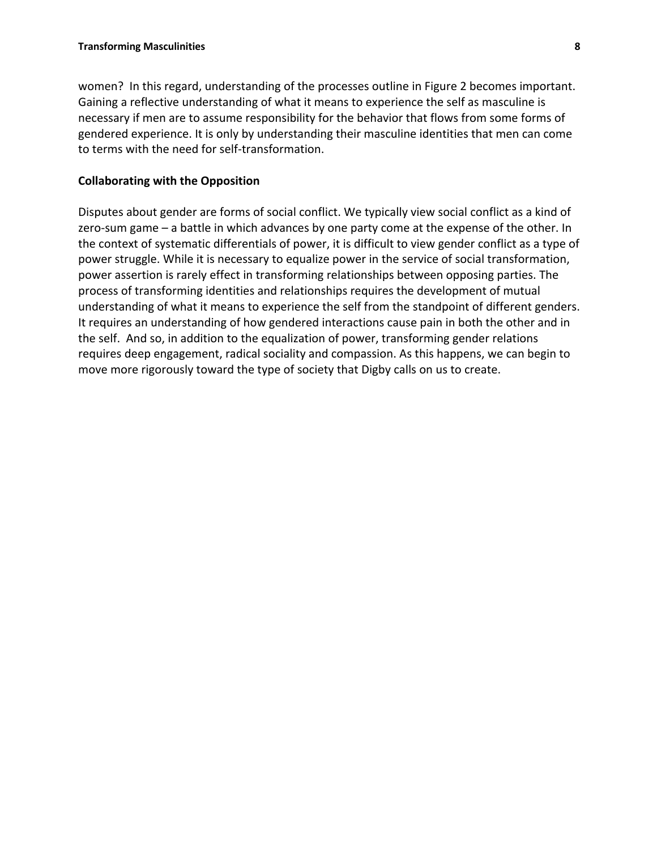women? In this regard, understanding of the processes outline in Figure 2 becomes important. Gaining a reflective understanding of what it means to experience the self as masculine is necessary if men are to assume responsibility for the behavior that flows from some forms of gendered experience. It is only by understanding their masculine identities that men can come to terms with the need for self-transformation.

## **Collaborating with the Opposition**

Disputes about gender are forms of social conflict. We typically view social conflict as a kind of zero-sum game – a battle in which advances by one party come at the expense of the other. In the context of systematic differentials of power, it is difficult to view gender conflict as a type of power struggle. While it is necessary to equalize power in the service of social transformation, power assertion is rarely effect in transforming relationships between opposing parties. The process of transforming identities and relationships requires the development of mutual understanding of what it means to experience the self from the standpoint of different genders. It requires an understanding of how gendered interactions cause pain in both the other and in the self. And so, in addition to the equalization of power, transforming gender relations requires deep engagement, radical sociality and compassion. As this happens, we can begin to move more rigorously toward the type of society that Digby calls on us to create.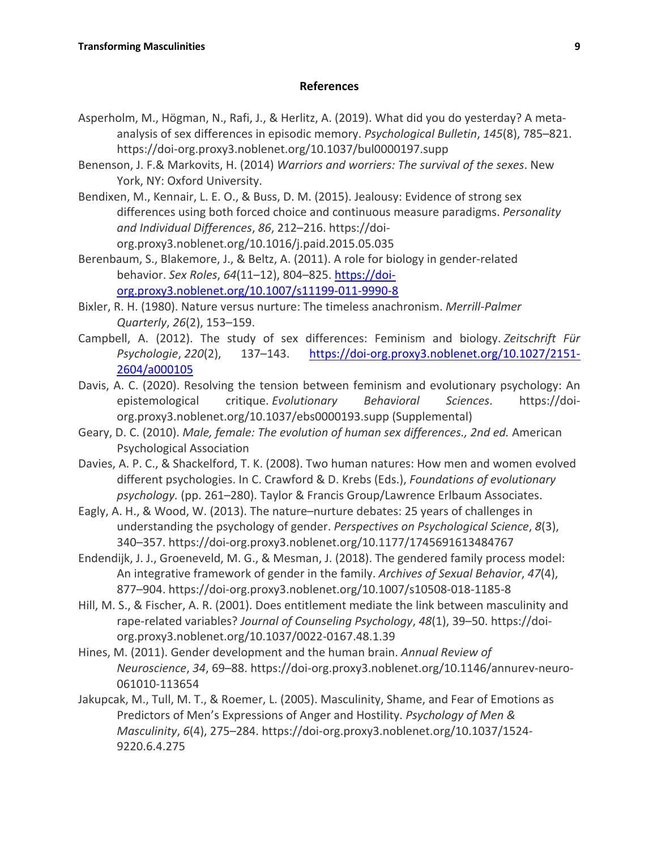## **References**

- Asperholm, M., Högman, N., Rafi, J., & Herlitz, A. (2019). What did you do yesterday? A metaanalysis of sex differences in episodic memory. *Psychological Bulletin*, *145*(8), 785–821. https://doi-org.proxy3.noblenet.org/10.1037/bul0000197.supp
- Benenson, J. F.& Markovits, H. (2014) *Warriors and worriers: The survival of the sexes*. New York, NY: Oxford University.
- Bendixen, M., Kennair, L. E. O., & Buss, D. M. (2015). Jealousy: Evidence of strong sex differences using both forced choice and continuous measure paradigms. *Personality and Individual Differences*, *86*, 212–216. https://doiorg.proxy3.noblenet.org/10.1016/j.paid.2015.05.035
- Berenbaum, S., Blakemore, J., & Beltz, A. (2011). A role for biology in gender-related behavior. *Sex Roles*, *64*(11–12), 804–825. https://doiorg.proxy3.noblenet.org/10.1007/s11199-011-9990-8
- Bixler, R. H. (1980). Nature versus nurture: The timeless anachronism. *Merrill-Palmer Quarterly*, *26*(2), 153–159.
- Campbell, A. (2012). The study of sex differences: Feminism and biology. *Zeitschrift Für Psychologie*, *220*(2), 137–143. https://doi-org.proxy3.noblenet.org/10.1027/2151- 2604/a000105
- Davis, A. C. (2020). Resolving the tension between feminism and evolutionary psychology: An epistemological critique. *Evolutionary Behavioral Sciences*. https://doiorg.proxy3.noblenet.org/10.1037/ebs0000193.supp (Supplemental)
- Geary, D. C. (2010). *Male, female: The evolution of human sex differences., 2nd ed.* American Psychological Association
- Davies, A. P. C., & Shackelford, T. K. (2008). Two human natures: How men and women evolved different psychologies. In C. Crawford & D. Krebs (Eds.), *Foundations of evolutionary psychology.* (pp. 261–280). Taylor & Francis Group/Lawrence Erlbaum Associates.
- Eagly, A. H., & Wood, W. (2013). The nature–nurture debates: 25 years of challenges in understanding the psychology of gender. *Perspectives on Psychological Science*, *8*(3), 340–357. https://doi-org.proxy3.noblenet.org/10.1177/1745691613484767
- Endendijk, J. J., Groeneveld, M. G., & Mesman, J. (2018). The gendered family process model: An integrative framework of gender in the family. *Archives of Sexual Behavior*, *47*(4), 877–904. https://doi-org.proxy3.noblenet.org/10.1007/s10508-018-1185-8
- Hill, M. S., & Fischer, A. R. (2001). Does entitlement mediate the link between masculinity and rape-related variables? *Journal of Counseling Psychology*, *48*(1), 39–50. https://doiorg.proxy3.noblenet.org/10.1037/0022-0167.48.1.39
- Hines, M. (2011). Gender development and the human brain. *Annual Review of Neuroscience*, *34*, 69–88. https://doi-org.proxy3.noblenet.org/10.1146/annurev-neuro-061010-113654
- Jakupcak, M., Tull, M. T., & Roemer, L. (2005). Masculinity, Shame, and Fear of Emotions as Predictors of Men's Expressions of Anger and Hostility. *Psychology of Men & Masculinity*, *6*(4), 275–284. https://doi-org.proxy3.noblenet.org/10.1037/1524- 9220.6.4.275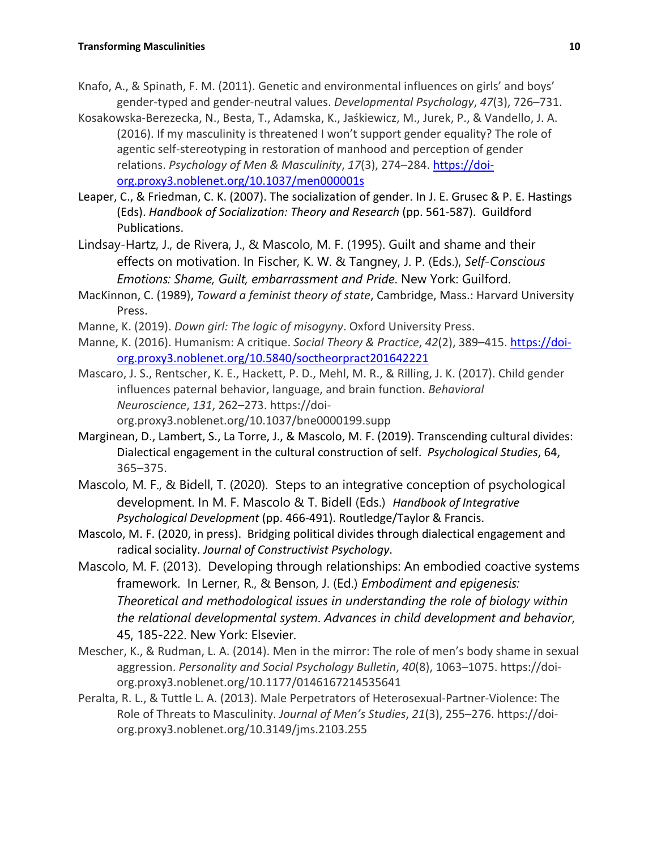- Knafo, A., & Spinath, F. M. (2011). Genetic and environmental influences on girls' and boys' gender-typed and gender-neutral values. *Developmental Psychology*, *47*(3), 726–731.
- Kosakowska-Berezecka, N., Besta, T., Adamska, K., Jaśkiewicz, M., Jurek, P., & Vandello, J. A. (2016). If my masculinity is threatened I won't support gender equality? The role of agentic self-stereotyping in restoration of manhood and perception of gender relations. *Psychology of Men & Masculinity*, *17*(3), 274–284. https://doiorg.proxy3.noblenet.org/10.1037/men000001s
- Leaper, C., & Friedman, C. K. (2007). The socialization of gender. In J. E. Grusec & P. E. Hastings (Eds). *Handbook of Socialization: Theory and Research* (pp. 561-587). Guildford Publications.
- Lindsay-Hartz, J., de Rivera, J., & Mascolo, M. F. (1995). Guilt and shame and their effects on motivation. In Fischer, K. W. & Tangney, J. P. (Eds.), *Self-Conscious Emotions: Shame, Guilt, embarrassment and Pride*. New York: Guilford.
- MacKinnon, C. (1989), *Toward a feminist theory of state*, Cambridge, Mass.: Harvard University Press.
- Manne, K. (2019). *Down girl: The logic of misogyny*. Oxford University Press.
- Manne, K. (2016). Humanism: A critique. *Social Theory & Practice*, *42*(2), 389–415. https://doiorg.proxy3.noblenet.org/10.5840/soctheorpract201642221
- Mascaro, J. S., Rentscher, K. E., Hackett, P. D., Mehl, M. R., & Rilling, J. K. (2017). Child gender influences paternal behavior, language, and brain function. *Behavioral Neuroscience*, *131*, 262–273. https://doiorg.proxy3.noblenet.org/10.1037/bne0000199.supp
- Marginean, D., Lambert, S., La Torre, J., & Mascolo, M. F. (2019). Transcending cultural divides: Dialectical engagement in the cultural construction of self. *Psychological Studies*, 64, 365–375.
- Mascolo, M. F., & Bidell, T. (2020). Steps to an integrative conception of psychological development. In M. F. Mascolo & T. Bidell (Eds.) *Handbook of Integrative Psychological Development* (pp. 466-491). Routledge/Taylor & Francis.
- Mascolo, M. F. (2020, in press). Bridging political divides through dialectical engagement and radical sociality. *Journal of Constructivist Psychology*.
- Mascolo, M. F. (2013). Developing through relationships: An embodied coactive systems framework. In Lerner, R., & Benson, J. (Ed.) *Embodiment and epigenesis: Theoretical and methodological issues in understanding the role of biology within the relational developmental system*. *Advances in child development and behavior*, 45, 185-222. New York: Elsevier.
- Mescher, K., & Rudman, L. A. (2014). Men in the mirror: The role of men's body shame in sexual aggression. *Personality and Social Psychology Bulletin*, *40*(8), 1063–1075. https://doiorg.proxy3.noblenet.org/10.1177/0146167214535641
- Peralta, R. L., & Tuttle L. A. (2013). Male Perpetrators of Heterosexual-Partner-Violence: The Role of Threats to Masculinity. *Journal of Men's Studies*, *21*(3), 255–276. https://doiorg.proxy3.noblenet.org/10.3149/jms.2103.255